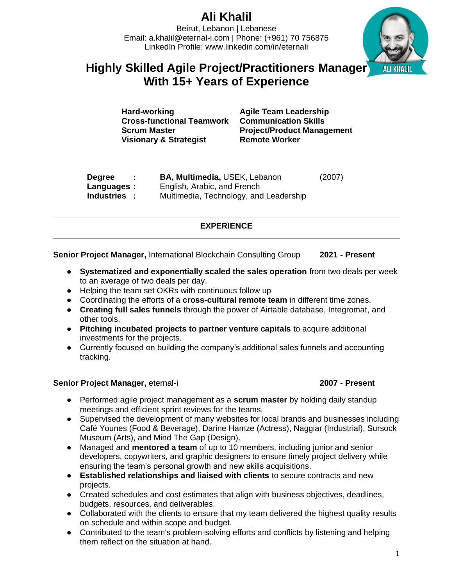# **Ali Khalil**

Beirut, Lebanon | Lebanese Email: [a.khalil@eternal-i.com](mailto:a.khalil@eternal-i.com) | Phone: (+961) 70 756875 LinkedIn Profile: [www.linkedin.com/in/eternali](https://inkedin.com/in/eternali)



# **Highly Skilled Agile Project/Practitioners Manager With 15+ Years of Experience**

| Hard-working                      | <b>Agile Team Leadership</b>      |
|-----------------------------------|-----------------------------------|
| <b>Cross-functional Teamwork</b>  | <b>Communication Skills</b>       |
| <b>Scrum Master</b>               | <b>Project/Product Management</b> |
| <b>Visionary &amp; Strategist</b> | <b>Remote Worker</b>              |

| <b>Degree</b> | $\mathbf{L}$ | <b>BA, Multimedia, USEK, Lebanon</b>   | (2007) |
|---------------|--------------|----------------------------------------|--------|
| Languages :   |              | English, Arabic, and French            |        |
| Industries :  |              | Multimedia, Technology, and Leadership |        |

## **EXPERIENCE**

**Senior Project Manager,** International Blockchain Consulting Group **2021 - Present**

- **Systematized and exponentially scaled the sales operation** from two deals per week to an average of two deals per day.
- Helping the team set OKRs with continuous follow up
- Coordinating the efforts of a **cross-cultural remote team** in different time zones.
- **Creating full sales funnels** through the power of Airtable database, Integromat, and other tools.
- **Pitching incubated projects to partner venture capitals** to acquire additional investments for the projects.
- Currently focused on building the company's additional sales funnels and accounting tracking.

#### **Senior Project Manager,** eternal-i **2007 - Present**

- Performed agile project management as a **scrum master** by holding daily standup meetings and efficient sprint reviews for the teams.
- Supervised the development of many websites for local brands and businesses including Café Younes (Food & Beverage), Darine Hamze (Actress), Naggiar (Industrial), Sursock Museum (Arts), and Mind The Gap (Design).
- Managed and **mentored a team** of up to 10 members, including junior and senior developers, copywriters, and graphic designers to ensure timely project delivery while ensuring the team's personal growth and new skills acquisitions.
- **Established relationships and liaised with clients** to secure contracts and new projects.
- Created schedules and cost estimates that align with business objectives, deadlines, budgets, resources, and deliverables.
- Collaborated with the clients to ensure that my team delivered the highest quality results on schedule and within scope and budget.
- Contributed to the team's problem-solving efforts and conflicts by listening and helping them reflect on the situation at hand.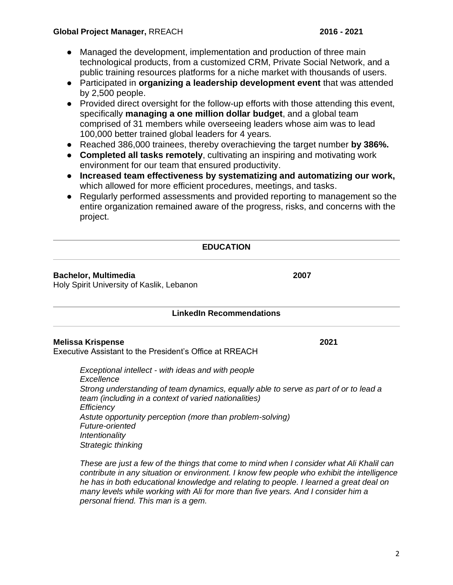## **Global Project Manager,** RREACH **2016 - 2021**

- Managed the development, implementation and production of three main technological products, from a customized CRM, Private Social Network, and a public training resources platforms for a niche market with thousands of users.
- Participated in **organizing a leadership development event** that was attended by 2,500 people.
- Provided direct oversight for the follow-up efforts with those attending this event, specifically **managing a one million dollar budget**, and a global team comprised of 31 members while overseeing leaders whose aim was to lead 100,000 better trained global leaders for 4 years.
- Reached 386,000 trainees, thereby overachieving the target number **by 386%.**
- **Completed all tasks remotely**, cultivating an inspiring and motivating work environment for our team that ensured productivity.
- **Increased team effectiveness by systematizing and automatizing our work,**  which allowed for more efficient procedures, meetings, and tasks.
- Regularly performed assessments and provided reporting to management so the entire organization remained aware of the progress, risks, and concerns with the project.

#### **EDUCATION**

### **Bachelor, Multimedia 2007**

Holy Spirit University of Kaslik, Lebanon

#### **LinkedIn Recommendations**

#### **Melissa Krispense 2021**

Executive Assistant to the President's Office at RREACH

*Exceptional intellect - with ideas and with people Excellence Strong understanding of team dynamics, equally able to serve as part of or to lead a team (including in a context of varied nationalities) Efficiency Astute opportunity perception (more than problem-solving) Future-oriented Intentionality Strategic thinking*

*These are just a few of the things that come to mind when I consider what Ali Khalil can contribute in any situation or environment. I know few people who exhibit the intelligence he has in both educational knowledge and relating to people. I learned a great deal on many levels while working with Ali for more than five years. And I consider him a personal friend. This man is a gem.*